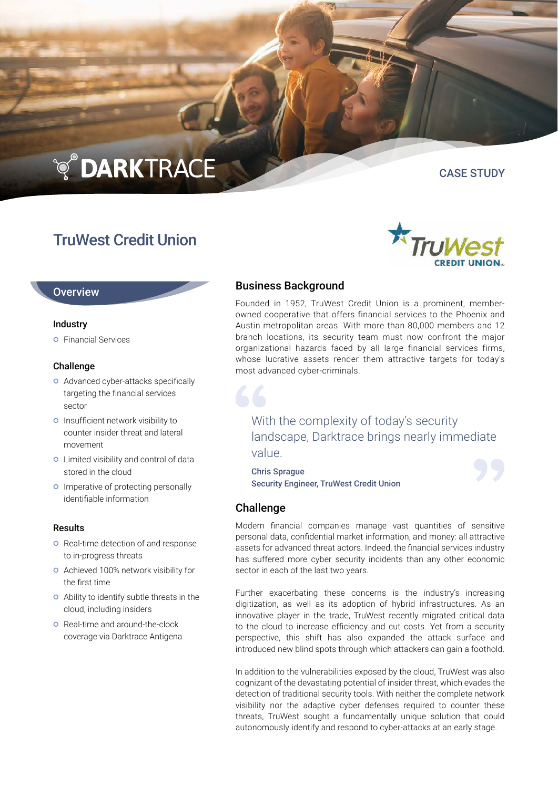# **TO DARKTRACE**

## TruWest Credit Union

CASE STUDY

#### **Overview**

#### Industry

**o** Financial Services

#### Challenge

- o Advanced cyber-attacks specifically targeting the financial services sector
- o Insufficient network visibility to counter insider threat and lateral movement
- Limited visibility and control of data stored in the cloud
- **o** Imperative of protecting personally identifiable information

#### Results

- **o** Real-time detection of and response to in-progress threats
- Achieved 100% network visibility for the first time
- Ability to identify subtle threats in the cloud, including insiders
- **o** Real-time and around-the-clock coverage via Darktrace Antigena

#### Business Background

Founded in 1952, TruWest Credit Union is a prominent, memberowned cooperative that offers financial services to the Phoenix and Austin metropolitan areas. With more than 80,000 members and 12 branch locations, its security team must now confront the major organizational hazards faced by all large financial services firms, whose lucrative assets render them attractive targets for today's most advanced cyber-criminals.

### With the complexity of today's security landscape, Darktrace brings nearly immediate value.

Chris Sprague Security Engineer, TruWest Credit Union

#### Challenge

Modern financial companies manage vast quantities of sensitive personal data, confidential market information, and money: all attractive assets for advanced threat actors. Indeed, the financial services industry has suffered more cyber security incidents than any other economic sector in each of the last two years.

Further exacerbating these concerns is the industry's increasing digitization, as well as its adoption of hybrid infrastructures. As an innovative player in the trade, TruWest recently migrated critical data to the cloud to increase efficiency and cut costs. Yet from a security perspective, this shift has also expanded the attack surface and introduced new blind spots through which attackers can gain a foothold.

In addition to the vulnerabilities exposed by the cloud, TruWest was also cognizant of the devastating potential of insider threat, which evades the detection of traditional security tools. With neither the complete network visibility nor the adaptive cyber defenses required to counter these threats, TruWest sought a fundamentally unique solution that could autonomously identify and respond to cyber-attacks at an early stage.